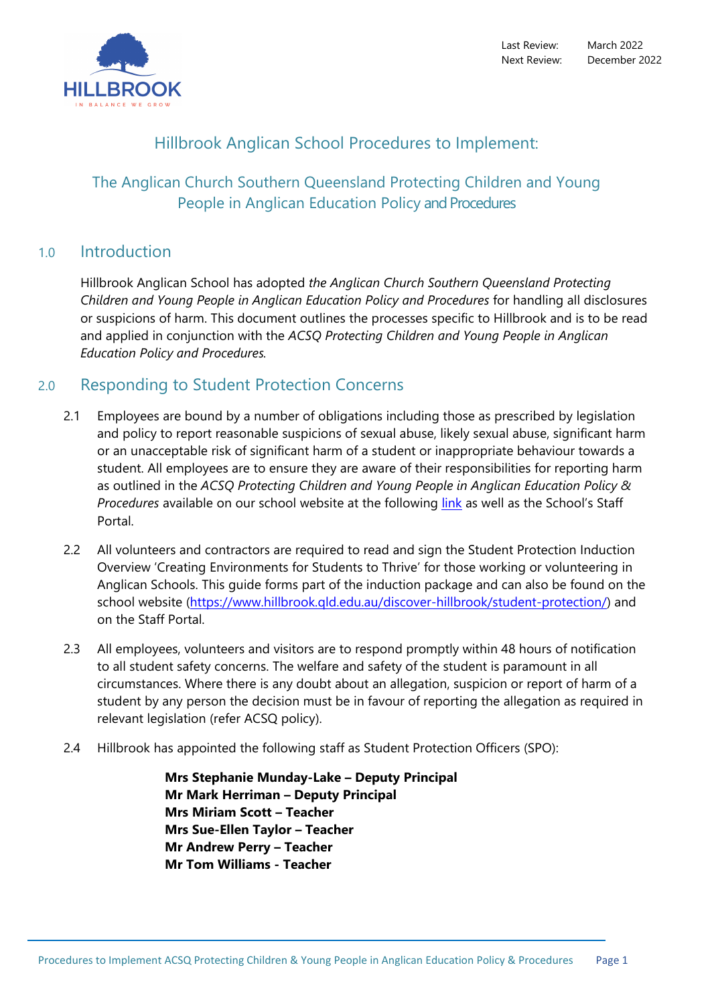

Last Review: March 2022 Next Review: December 2022

# Hillbrook Anglican School Procedures to Implement:

# The Anglican Church Southern Queensland Protecting Children and Young People in Anglican Education Policy and Procedures

## 1.0 Introduction

Hillbrook Anglican School has adopted *the Anglican Church Southern Queensland Protecting Children and Young People in Anglican Education Policy and Procedures* for handling all disclosures or suspicions of harm. This document outlines the processes specific to Hillbrook and is to be read and applied in conjunction with the *ACSQ Protecting Children and Young People in Anglican Education Policy and Procedures.*

## 2.0 Responding to Student Protection Concerns

- 2.1 Employees are bound by a number of obligations including those as prescribed by legislation and policy to report reasonable suspicions of sexual abuse, likely sexual abuse, significant harm or an unacceptable risk of significant harm of a student or inappropriate behaviour towards a student. All employees are to ensure they are aware of their responsibilities for reporting harm as outlined in the *ACSQ Protecting Children and Young People in Anglican Education Policy &*  Procedures available on our school website at the following *[link](https://www.hillbrook.qld.edu.au/discover-hillbrook/student-protection/)* as well as the School's Staff Portal.
- 2.2 All volunteers and contractors are required to read and sign the Student Protection Induction Overview 'Creating Environments for Students to Thrive' for those working or volunteering in Anglican Schools. This guide forms part of the induction package and can also be found on the school website [\(https://www.hillbrook.qld.edu.au/discover-hillbrook/student-protection/\)](https://www.hillbrook.qld.edu.au/discover-hillbrook/student-protection/) and on the Staff Portal.
- 2.3 All employees, volunteers and visitors are to respond promptly within 48 hours of notification to all student safety concerns. The welfare and safety of the student is paramount in all circumstances. Where there is any doubt about an allegation, suspicion or report of harm of a student by any person the decision must be in favour of reporting the allegation as required in relevant legislation (refer ACSQ policy).
- 2.4 Hillbrook has appointed the following staff as Student Protection Officers (SPO):

 **Mrs Stephanie Munday-Lake – Deputy Principal Mr Mark Herriman – Deputy Principal Mrs Miriam Scott – Teacher Mrs Sue-Ellen Taylor – Teacher Mr Andrew Perry – Teacher Mr Tom Williams - Teacher**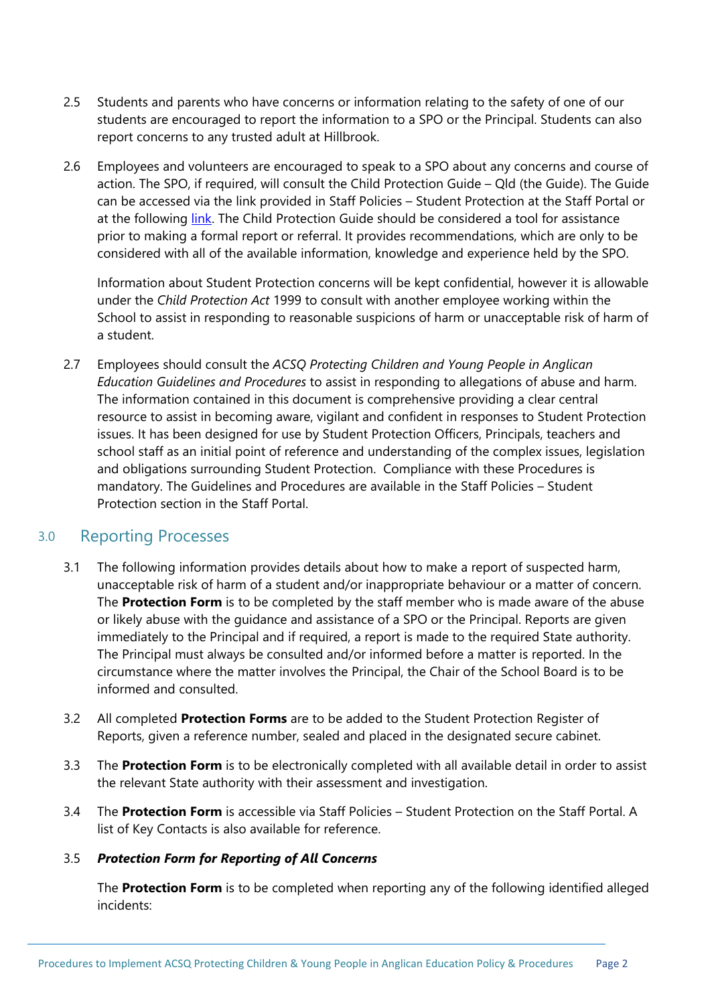- 2.5 Students and parents who have concerns or information relating to the safety of one of our students are encouraged to report the information to a SPO or the Principal. Students can also report concerns to any trusted adult at Hillbrook.
- 2.6 Employees and volunteers are encouraged to speak to a SPO about any concerns and course of action. The SPO, if required, will consult the Child Protection Guide – Qld (the Guide). The Guide can be accessed via the link provided in Staff Policies – Student Protection at the Staff Portal or at the following [link.](https://www.cyjma.qld.gov.au/about-us/our-department/partners/child-family/our-government-partners/queensland-child-protection-guide#:%7E:text=The%20Child%20Protection%20Guide%20is,to%20a%20family%20support%20service.) The Child Protection Guide should be considered a tool for assistance prior to making a formal report or referral. It provides recommendations, which are only to be considered with all of the available information, knowledge and experience held by the SPO.

Information about Student Protection concerns will be kept confidential, however it is allowable under the *Child Protection Act* 1999 to consult with another employee working within the School to assist in responding to reasonable suspicions of harm or unacceptable risk of harm of a student.

2.7 Employees should consult the *ACSQ Protecting Children and Young People in Anglican Education Guidelines and Procedures* to assist in responding to allegations of abuse and harm. The information contained in this document is comprehensive providing a clear central resource to assist in becoming aware, vigilant and confident in responses to Student Protection issues. It has been designed for use by Student Protection Officers, Principals, teachers and school staff as an initial point of reference and understanding of the complex issues, legislation and obligations surrounding Student Protection. Compliance with these Procedures is mandatory. The Guidelines and Procedures are available in the Staff Policies – Student Protection section in the Staff Portal.

## 3.0 Reporting Processes

- 3.1 The following information provides details about how to make a report of suspected harm, unacceptable risk of harm of a student and/or inappropriate behaviour or a matter of concern. The **Protection Form** is to be completed by the staff member who is made aware of the abuse or likely abuse with the guidance and assistance of a SPO or the Principal. Reports are given immediately to the Principal and if required, a report is made to the required State authority. The Principal must always be consulted and/or informed before a matter is reported. In the circumstance where the matter involves the Principal, the Chair of the School Board is to be informed and consulted.
- 3.2 All completed **Protection Forms** are to be added to the Student Protection Register of Reports, given a reference number, sealed and placed in the designated secure cabinet.
- 3.3 The **Protection Form** is to be electronically completed with all available detail in order to assist the relevant State authority with their assessment and investigation.
- 3.4 The **Protection Form** is accessible via Staff Policies Student Protection on the Staff Portal. A list of Key Contacts is also available for reference.

#### 3.5 *Protection Form for Reporting of All Concerns*

The **Protection Form** is to be completed when reporting any of the following identified alleged incidents: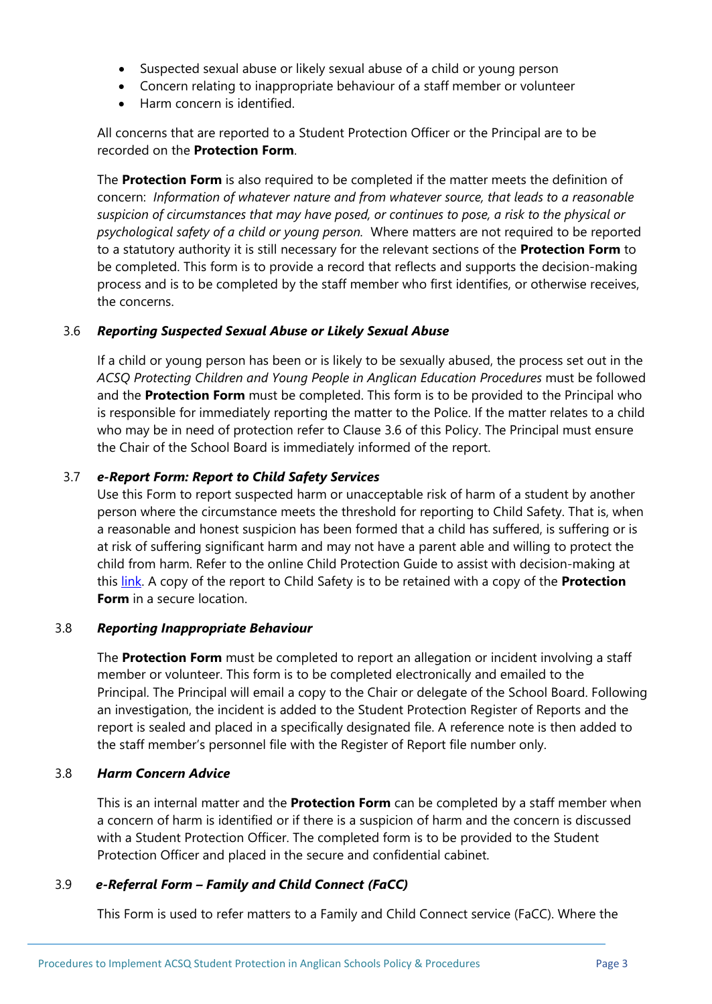- Suspected sexual abuse or likely sexual abuse of a child or young person
- Concern relating to inappropriate behaviour of a staff member or volunteer
- Harm concern is identified.

All concerns that are reported to a Student Protection Officer or the Principal are to be recorded on the **Protection Form**.

The **Protection Form** is also required to be completed if the matter meets the definition of concern: *Information of whatever nature and from whatever source, that leads to a reasonable suspicion of circumstances that may have posed, or continues to pose, a risk to the physical or psychological safety of a child or young person.* Where matters are not required to be reported to a statutory authority it is still necessary for the relevant sections of the **Protection Form** to be completed. This form is to provide a record that reflects and supports the decision-making process and is to be completed by the staff member who first identifies, or otherwise receives, the concerns.

#### 3.6 *Reporting Suspected Sexual Abuse or Likely Sexual Abuse*

If a child or young person has been or is likely to be sexually abused, the process set out in the *ACSQ Protecting Children and Young People in Anglican Education Procedures* must be followed and the **Protection Form** must be completed. This form is to be provided to the Principal who is responsible for immediately reporting the matter to the Police. If the matter relates to a child who may be in need of protection refer to Clause 3.6 of this Policy. The Principal must ensure the Chair of the School Board is immediately informed of the report.

#### 3.7 *e-Report Form: Report to Child Safety Services*

Use this Form to report suspected harm or unacceptable risk of harm of a student by another person where the circumstance meets the threshold for reporting to Child Safety. That is, when a reasonable and honest suspicion has been formed that a child has suffered, is suffering or is at risk of suffering significant harm and may not have a parent able and willing to protect the child from harm. Refer to the online Child Protection Guide to assist with decision-making at this [link.](https://secure.communities.qld.gov.au/cpguide/engine.aspx) A copy of the report to Child Safety is to be retained with a copy of the **Protection Form** in a secure location.

#### 3.8 *Reporting Inappropriate Behaviour*

The **Protection Form** must be completed to report an allegation or incident involving a staff member or volunteer. This form is to be completed electronically and emailed to the Principal. The Principal will email a copy to the Chair or delegate of the School Board. Following an investigation, the incident is added to the Student Protection Register of Reports and the report is sealed and placed in a specifically designated file. A reference note is then added to the staff member's personnel file with the Register of Report file number only.

#### 3.8 *Harm Concern Advice*

This is an internal matter and the **Protection Form** can be completed by a staff member when a concern of harm is identified or if there is a suspicion of harm and the concern is discussed with a Student Protection Officer. The completed form is to be provided to the Student Protection Officer and placed in the secure and confidential cabinet.

#### 3.9 *e-Referral Form – Family and Child Connect (FaCC)*

This Form is used to refer matters to a Family and Child Connect service (FaCC). Where the